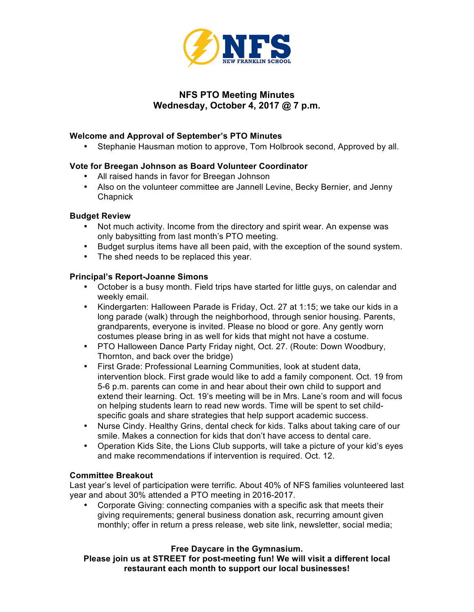

# **NFS PTO Meeting Minutes Wednesday, October 4, 2017 @ 7 p.m.**

# **Welcome and Approval of September's PTO Minutes**

• Stephanie Hausman motion to approve, Tom Holbrook second, Approved by all.

## **Vote for Breegan Johnson as Board Volunteer Coordinator**

- All raised hands in favor for Breegan Johnson
- Also on the volunteer committee are Jannell Levine, Becky Bernier, and Jenny **Chapnick**

#### **Budget Review**

- Not much activity. Income from the directory and spirit wear. An expense was only babysitting from last month's PTO meeting.
- Budget surplus items have all been paid, with the exception of the sound system.
- The shed needs to be replaced this year.

#### **Principal's Report-Joanne Simons**

- October is a busy month. Field trips have started for little guys, on calendar and weekly email.
- Kindergarten: Halloween Parade is Friday, Oct. 27 at 1:15; we take our kids in a long parade (walk) through the neighborhood, through senior housing. Parents, grandparents, everyone is invited. Please no blood or gore. Any gently worn costumes please bring in as well for kids that might not have a costume.
- PTO Halloween Dance Party Friday night, Oct. 27. (Route: Down Woodbury, Thornton, and back over the bridge)
- First Grade: Professional Learning Communities, look at student data, intervention block. First grade would like to add a family component. Oct. 19 from 5-6 p.m. parents can come in and hear about their own child to support and extend their learning. Oct. 19's meeting will be in Mrs. Lane's room and will focus on helping students learn to read new words. Time will be spent to set childspecific goals and share strategies that help support academic success.
- Nurse Cindy. Healthy Grins, dental check for kids. Talks about taking care of our smile. Makes a connection for kids that don't have access to dental care.
- Operation Kids Site, the Lions Club supports, will take a picture of your kid's eyes and make recommendations if intervention is required. Oct. 12.

#### **Committee Breakout**

Last year's level of participation were terrific. About 40% of NFS families volunteered last year and about 30% attended a PTO meeting in 2016-2017.

• Corporate Giving: connecting companies with a specific ask that meets their giving requirements; general business donation ask, recurring amount given monthly; offer in return a press release, web site link, newsletter, social media;

## **Free Daycare in the Gymnasium.**

**Please join us at STREET for post-meeting fun! We will visit a different local restaurant each month to support our local businesses!**